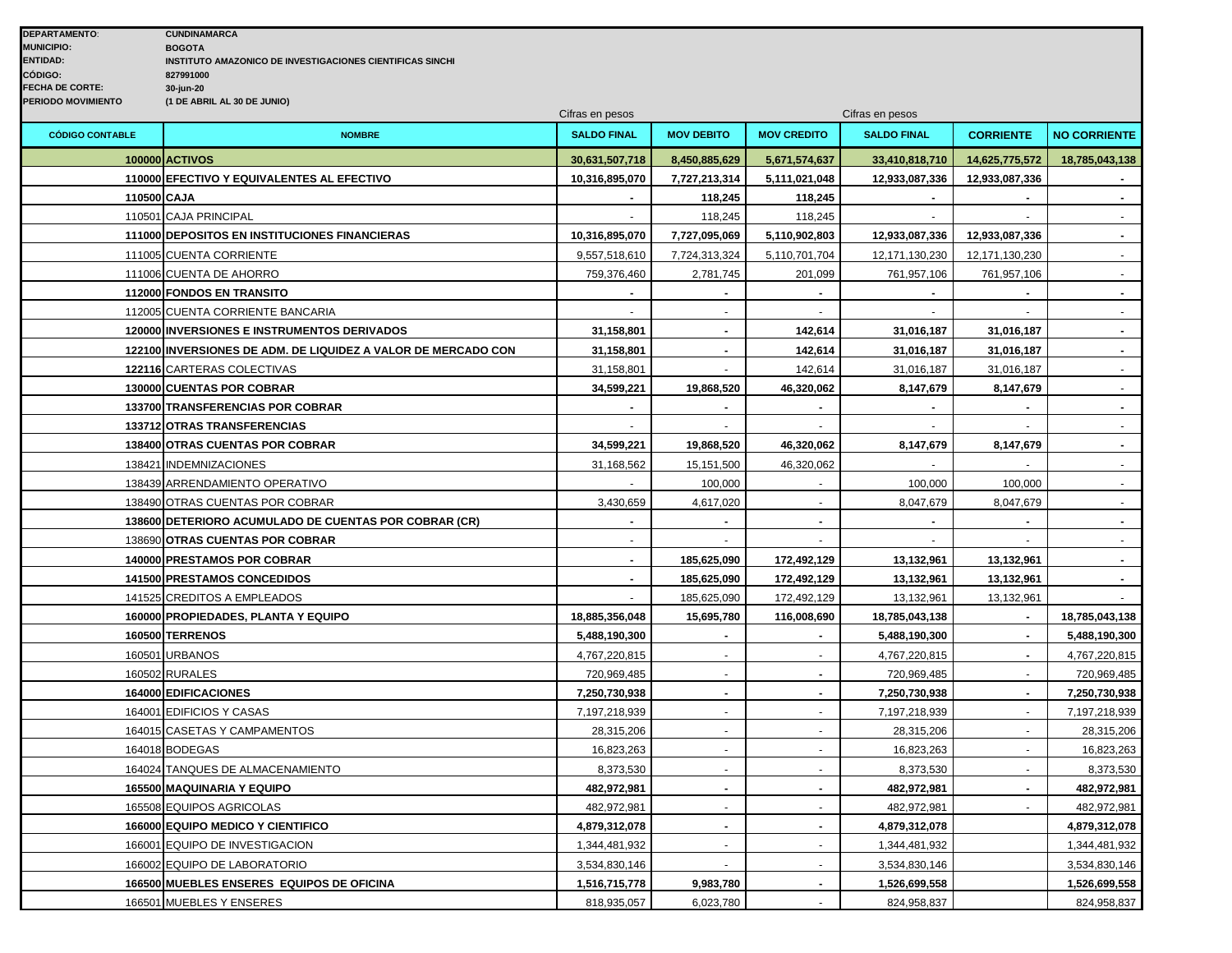|                        |                                                               | Cifras en pesos    |                   | Cifras en pesos          |                    |                  |                             |
|------------------------|---------------------------------------------------------------|--------------------|-------------------|--------------------------|--------------------|------------------|-----------------------------|
| <b>CÓDIGO CONTABLE</b> | <b>NOMBRE</b>                                                 | <b>SALDO FINAL</b> | <b>MOV DEBITO</b> | <b>MOV CREDITO</b>       | <b>SALDO FINAL</b> | <b>CORRIENTE</b> | <b>NO CORRIENTE</b>         |
|                        | <b>100000 ACTIVOS</b>                                         | 30,631,507,718     | 8,450,885,629     | 5,671,574,637            | 33,410,818,710     | 14,625,775,572   | 18,785,043,138              |
|                        | 110000 EFECTIVO Y EQUIVALENTES AL EFECTIVO                    | 10,316,895,070     | 7,727,213,314     | 5,111,021,048            | 12,933,087,336     | 12,933,087,336   |                             |
| 110500 CAJA            |                                                               |                    | 118,245           | 118,245                  |                    |                  | $\sim$                      |
|                        | 110501 CAJA PRINCIPAL                                         |                    | 118,245           | 118,245                  |                    |                  |                             |
|                        | 111000 DEPOSITOS EN INSTITUCIONES FINANCIERAS                 | 10,316,895,070     | 7,727,095,069     | 5,110,902,803            | 12,933,087,336     | 12,933,087,336   | $\blacksquare$              |
|                        | 111005 CUENTA CORRIENTE                                       | 9,557,518,610      | 7,724,313,324     | 5,110,701,704            | 12,171,130,230     | 12,171,130,230   | $\mathcal{L}^{\mathcal{L}}$ |
|                        | 111006 CUENTA DE AHORRO                                       | 759,376,460        | 2,781,745         | 201,099                  | 761,957,106        | 761,957,106      | $\sim$                      |
|                        | 112000 FONDOS EN TRANSITO                                     |                    |                   |                          |                    |                  | $\blacksquare$              |
|                        | 112005 CUENTA CORRIENTE BANCARIA                              |                    |                   |                          |                    |                  | $\mathbf{r}$                |
|                        | 120000 INVERSIONES E INSTRUMENTOS DERIVADOS                   | 31,158,801         |                   | 142,614                  | 31,016,187         | 31,016,187       | $\blacksquare$              |
|                        | 122100 INVERSIONES DE ADM. DE LIQUIDEZ A VALOR DE MERCADO CON | 31,158,801         | $\sim$            | 142,614                  | 31,016,187         | 31,016,187       | $\blacksquare$              |
|                        | 122116 CARTERAS COLECTIVAS                                    | 31,158,801         |                   | 142,614                  | 31,016,187         | 31,016,187       | $\blacksquare$              |
|                        | 130000 CUENTAS POR COBRAR                                     | 34,599,221         | 19,868,520        | 46,320,062               | 8,147,679          | 8,147,679        | $\bar{\phantom{a}}$         |
|                        | <b>133700 TRANSFERENCIAS POR COBRAR</b>                       |                    |                   |                          |                    |                  |                             |
|                        | 133712 OTRAS TRANSFERENCIAS                                   | $\omega$           | $\sim$            | $\sim$                   | $\blacksquare$     | $\sim$           | $\sim$                      |
|                        | 138400 OTRAS CUENTAS POR COBRAR                               | 34,599,221         | 19,868,520        | 46,320,062               | 8,147,679          | 8,147,679        | $\blacksquare$              |
|                        | 138421 INDEMNIZACIONES                                        | 31,168,562         | 15,151,500        | 46,320,062               |                    |                  | $\omega$                    |
|                        | 138439 ARRENDAMIENTO OPERATIVO                                |                    | 100,000           |                          | 100,000            | 100,000          |                             |
|                        | 138490 OTRAS CUENTAS POR COBRAR                               | 3,430,659          | 4,617,020         | $\sim$                   | 8,047,679          | 8,047,679        | $\omega$                    |
|                        | 138600 DETERIORO ACUMULADO DE CUENTAS POR COBRAR (CR)         | $\blacksquare$     |                   | $\blacksquare$           |                    | $\mathbf{r}$     | $\blacksquare$              |
|                        | 138690 OTRAS CUENTAS POR COBRAR                               |                    |                   |                          |                    |                  | $\mathbf{r}$                |
|                        | 140000 PRESTAMOS POR COBRAR                                   | $\blacksquare$     | 185,625,090       | 172,492,129              | 13,132,961         | 13,132,961       |                             |
|                        | 141500 PRESTAMOS CONCEDIDOS                                   | $\blacksquare$     | 185,625,090       | 172,492,129              | 13,132,961         | 13,132,961       | $\blacksquare$              |
|                        | 141525 CREDITOS A EMPLEADOS                                   |                    | 185,625,090       | 172,492,129              | 13,132,961         | 13,132,961       |                             |
|                        | 160000 PROPIEDADES, PLANTA Y EQUIPO                           | 18,885,356,048     | 15,695,780        | 116,008,690              | 18,785,043,138     |                  | 18,785,043,138              |
|                        | 160500 TERRENOS                                               | 5,488,190,300      |                   |                          | 5,488,190,300      |                  | 5,488,190,300               |
|                        | 160501 URBANOS                                                | 4,767,220,815      |                   |                          | 4,767,220,815      |                  | 4,767,220,815               |
|                        | 160502 RURALES                                                | 720,969,485        | $\sim$            | $\overline{\phantom{a}}$ | 720,969,485        | $\sim$           | 720,969,485                 |
|                        | 164000 EDIFICACIONES                                          | 7,250,730,938      |                   |                          | 7,250,730,938      |                  | 7,250,730,938               |
|                        | 164001 EDIFICIOS Y CASAS                                      | 7,197,218,939      |                   |                          | 7,197,218,939      |                  | 7,197,218,939               |
|                        | 164015 CASETAS Y CAMPAMENTOS                                  | 28,315,206         |                   |                          | 28,315,206         |                  | 28,315,206                  |
|                        | 164018 BODEGAS                                                | 16,823,263         | $\omega$          | $\omega$                 | 16,823,263         | $\sim$           | 16,823,263                  |
|                        | 164024 TANQUES DE ALMACENAMIENTO                              | 8,373,530          |                   |                          | 8,373,530          |                  | 8,373,530                   |
|                        | 165500 MAQUINARIA Y EQUIPO                                    | 482,972,981        |                   |                          | 482,972,981        |                  | 482,972,981                 |
|                        | 165508 EQUIPOS AGRICOLAS                                      | 482,972,981        |                   |                          | 482,972,981        |                  | 482,972,981                 |
|                        | <b>166000 EQUIPO MEDICO Y CIENTIFICO</b>                      | 4,879,312,078      | $\sim$            |                          | 4,879,312,078      |                  | 4,879,312,078               |
|                        | 166001 EQUIPO DE INVESTIGACION                                | 1,344,481,932      | $\sim$            | $\sim$                   | 1,344,481,932      |                  | 1,344,481,932               |
|                        | 166002 EQUIPO DE LABORATORIO                                  | 3,534,830,146      |                   |                          | 3,534,830,146      |                  | 3,534,830,146               |
|                        | 166500 MUEBLES ENSERES EQUIPOS DE OFICINA                     | 1,516,715,778      | 9,983,780         |                          | 1,526,699,558      |                  | 1,526,699,558               |
|                        | 166501 MUEBLES Y ENSERES                                      | 818,935,057        | 6,023,780         | $\overline{a}$           | 824,958,837        |                  | 824,958,837                 |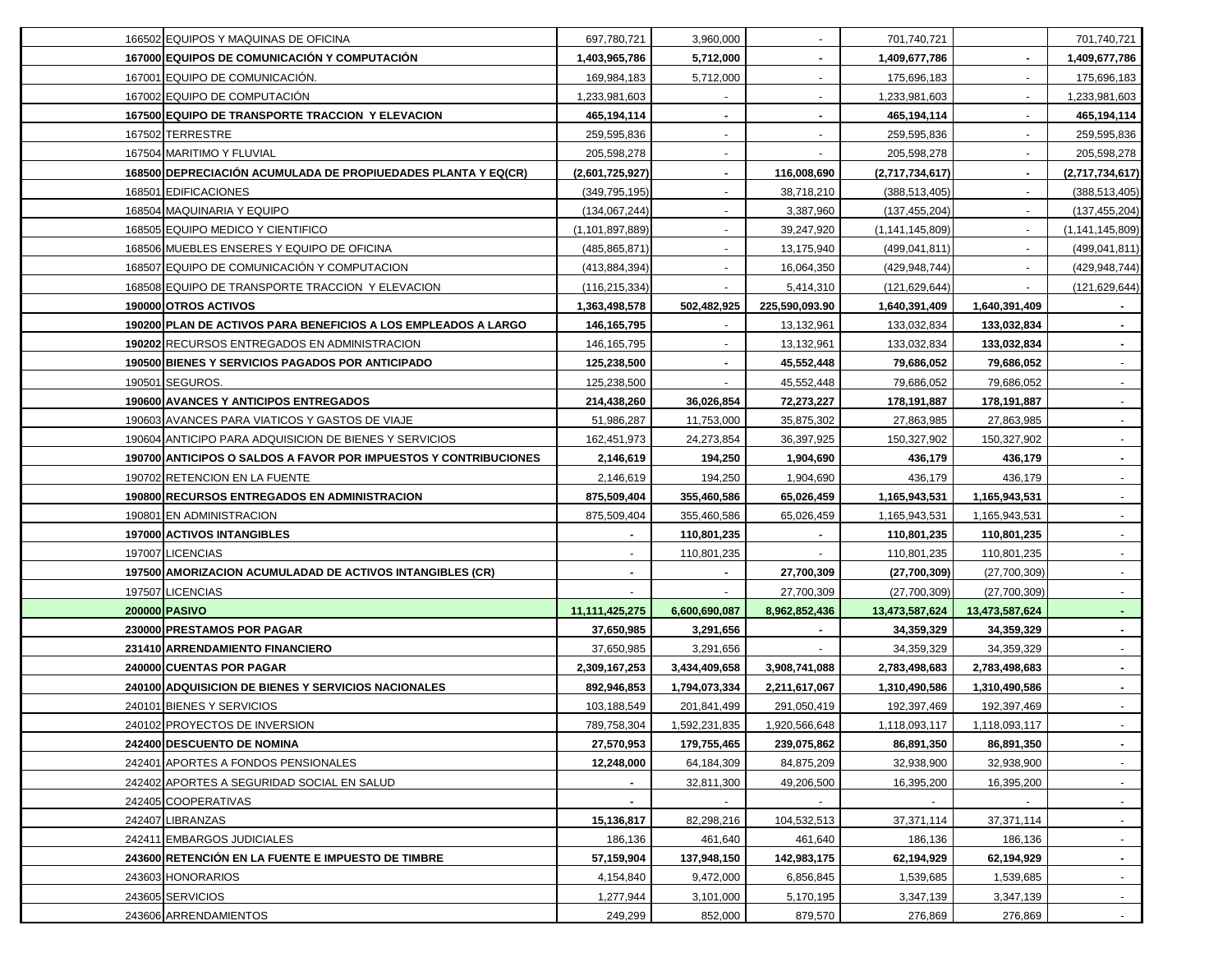| 166502 EQUIPOS Y MAQUINAS DE OFICINA                             | 697,780,721        | 3,960,000     |                | 701,740,721        |                | 701,740,721     |
|------------------------------------------------------------------|--------------------|---------------|----------------|--------------------|----------------|-----------------|
| 167000 EQUIPOS DE COMUNICACIÓN Y COMPUTACIÓN                     | 1,403,965,786      | 5,712,000     |                | 1,409,677,786      |                | 1,409,677,786   |
| 167001 EQUIPO DE COMUNICACIÓN.                                   | 169,984,183        | 5,712,000     |                | 175,696,183        |                | 175,696,183     |
| 167002 EQUIPO DE COMPUTACIÓN                                     | 1,233,981,603      |               |                | 1,233,981,603      |                | 1,233,981,603   |
| 167500 EQUIPO DE TRANSPORTE TRACCION Y ELEVACION                 | 465,194,114        |               |                | 465,194,114        |                | 465,194,114     |
| 167502 TERRESTRE                                                 | 259,595,836        |               |                | 259,595,836        |                | 259,595,836     |
| 167504 MARITIMO Y FLUVIAL                                        | 205,598,278        |               |                | 205,598,278        |                | 205,598,278     |
| 168500 DEPRECIACIÓN ACUMULADA DE PROPIUEDADES PLANTA Y EQ(CR)    | (2,601,725,927)    |               | 116,008,690    | (2,717,734,617)    |                | (2,717,734,617) |
| 168501 EDIFICACIONES                                             | (349, 795, 195)    |               | 38,718,210     | (388, 513, 405)    |                | (388, 513, 405) |
| 168504 MAQUINARIA Y EQUIPO                                       | (134,067,244)      |               | 3,387,960      | (137, 455, 204)    |                | (137, 455, 204) |
| 168505 EQUIPO MEDICO Y CIENTIFICO                                | (1, 101, 897, 889) |               | 39,247,920     | (1, 141, 145, 809) |                | (1,141,145,809) |
| 168506 MUEBLES ENSERES Y EQUIPO DE OFICINA                       | (485, 865, 871)    |               | 13,175,940     | (499, 041, 811)    |                | (499, 041, 811) |
| 168507 EQUIPO DE COMUNICACIÓN Y COMPUTACION                      | (413, 884, 394)    |               | 16,064,350     | (429, 948, 744)    |                | (429, 948, 744) |
| 168508 EQUIPO DE TRANSPORTE TRACCION Y ELEVACION                 | (116, 215, 334)    |               | 5,414,310      | (121, 629, 644)    |                | (121, 629, 644) |
| 190000 OTROS ACTIVOS                                             | 1,363,498,578      | 502,482,925   | 225,590,093.90 | 1,640,391,409      | 1,640,391,409  |                 |
| 190200 PLAN DE ACTIVOS PARA BENEFICIOS A LOS EMPLEADOS A LARGO   | 146,165,795        |               | 13,132,961     | 133,032,834        | 133,032,834    |                 |
| 190202 RECURSOS ENTREGADOS EN ADMINISTRACION                     | 146,165,795        |               | 13,132,961     | 133,032,834        | 133,032,834    |                 |
| 190500 BIENES Y SERVICIOS PAGADOS POR ANTICIPADO                 | 125,238,500        |               | 45,552,448     | 79,686,052         | 79,686,052     |                 |
| 190501 SEGUROS.                                                  | 125,238,500        |               | 45,552,448     | 79,686,052         | 79,686,052     |                 |
| <b>190600 AVANCES Y ANTICIPOS ENTREGADOS</b>                     | 214,438,260        | 36,026,854    | 72,273,227     | 178,191,887        | 178,191,887    |                 |
| 190603 AVANCES PARA VIATICOS Y GASTOS DE VIAJE                   | 51,986,287         | 11,753,000    | 35,875,302     | 27,863,985         | 27,863,985     |                 |
| 190604 ANTICIPO PARA ADQUISICION DE BIENES Y SERVICIOS           | 162,451,973        | 24,273,854    | 36,397,925     | 150,327,902        | 150,327,902    | $\blacksquare$  |
| 190700 ANTICIPOS O SALDOS A FAVOR POR IMPUESTOS Y CONTRIBUCIONES | 2,146,619          | 194,250       | 1,904,690      | 436,179            | 436,179        | $\blacksquare$  |
| 190702 RETENCION EN LA FUENTE                                    | 2,146,619          | 194,250       | 1,904,690      | 436,179            | 436,179        | $\blacksquare$  |
| 190800 RECURSOS ENTREGADOS EN ADMINISTRACION                     | 875,509,404        | 355,460,586   | 65,026,459     | 1,165,943,531      | 1,165,943,531  | $\blacksquare$  |
| 190801 EN ADMINISTRACION                                         | 875,509,404        | 355,460,586   | 65,026,459     | 1,165,943,531      | 1,165,943,531  | $\blacksquare$  |
| 197000 ACTIVOS INTANGIBLES                                       |                    | 110,801,235   |                | 110,801,235        | 110,801,235    | $\blacksquare$  |
| 197007 LICENCIAS                                                 |                    | 110,801,235   |                | 110,801,235        | 110,801,235    |                 |
| 197500 AMORIZACION ACUMULADAD DE ACTIVOS INTANGIBLES (CR)        |                    |               | 27,700,309     | (27,700,309)       | (27,700,309)   |                 |
| 197507 LICENCIAS                                                 |                    |               | 27,700,309     | (27,700,309)       | (27,700,309)   |                 |
| 200000 PASIVO                                                    | 11, 111, 425, 275  | 6,600,690,087 | 8,962,852,436  | 13,473,587,624     | 13,473,587,624 |                 |
| 230000 PRESTAMOS POR PAGAR                                       | 37,650,985         | 3,291,656     |                | 34,359,329         | 34,359,329     |                 |
| 231410 ARRENDAMIENTO FINANCIERO                                  | 37,650,985         | 3,291,656     |                | 34,359,329         | 34,359,329     |                 |
| 240000 CUENTAS POR PAGAR                                         | 2,309,167,253      | 3,434,409,658 | 3,908,741,088  | 2,783,498,683      | 2,783,498,683  | $\blacksquare$  |
| 240100 ADQUISICION DE BIENES Y SERVICIOS NACIONALES              | 892,946,853        | 1,794,073,334 | 2,211,617,067  | 1,310,490,586      | 1,310,490,586  |                 |
| 240101 BIENES Y SERVICIOS                                        | 103,188,549        | 201,841,499   | 291,050,419    | 192,397,469        | 192,397,469    |                 |
| 240102 PROYECTOS DE INVERSION                                    | 789,758,304        | 1,592,231,835 | 1,920,566,648  | 1,118,093,117      | 1,118,093,117  | $\sim$          |
| <b>242400 DESCUENTO DE NOMINA</b>                                | 27,570,953         | 179,755,465   | 239,075,862    | 86,891,350         | 86,891,350     | $\sim$          |
| 242401 APORTES A FONDOS PENSIONALES                              | 12,248,000         | 64,184,309    | 84,875,209     | 32,938,900         | 32,938,900     | $\blacksquare$  |
| 242402 APORTES A SEGURIDAD SOCIAL EN SALUD                       |                    | 32,811,300    | 49,206,500     | 16,395,200         | 16,395,200     | $\sim$          |
| 242405 COOPERATIVAS                                              |                    |               |                |                    |                | $\sim$          |
| 242407 LIBRANZAS                                                 | 15,136,817         | 82,298,216    | 104,532,513    | 37,371,114         | 37,371,114     | $\sim$          |
| 242411 EMBARGOS JUDICIALES                                       | 186,136            | 461,640       | 461,640        | 186,136            | 186,136        | $\sim$          |
| 243600 RETENCIÓN EN LA FUENTE E IMPUESTO DE TIMBRE               | 57,159,904         | 137,948,150   | 142,983,175    | 62,194,929         | 62,194,929     | $\blacksquare$  |
| 243603 HONORARIOS                                                | 4,154,840          | 9,472,000     | 6,856,845      | 1,539,685          | 1,539,685      | ۰.              |
| 243605 SERVICIOS                                                 | 1,277,944          | 3,101,000     | 5,170,195      | 3,347,139          | 3,347,139      | $\sim$          |
|                                                                  | 249,299            | 852,000       | 879,570        | 276,869            | 276,869        | $\sim$          |
| 243606 ARRENDAMIENTOS                                            |                    |               |                |                    |                |                 |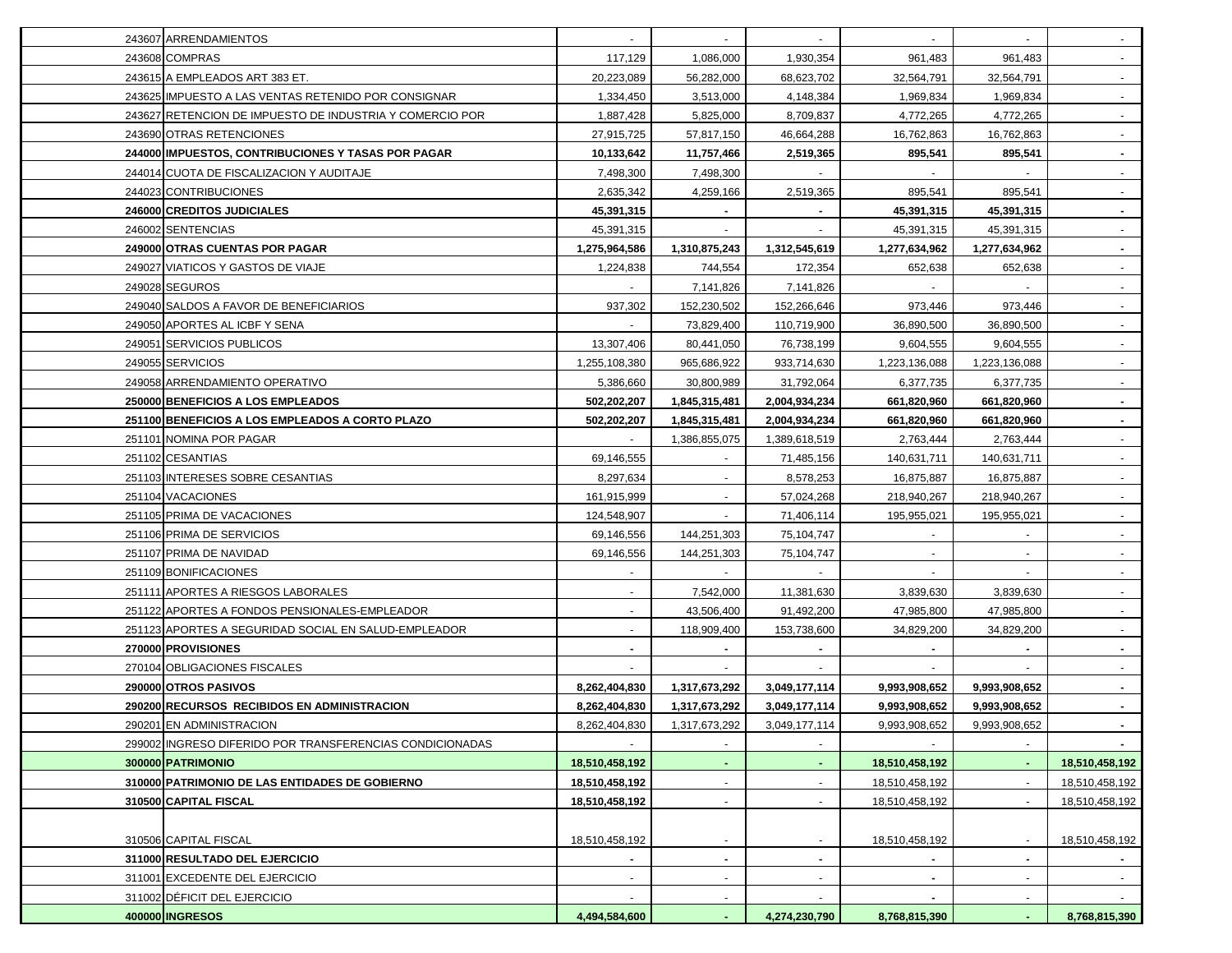| 243607 ARRENDAMIENTOS                                    |                          |                | $\blacksquare$           |                |                |                |
|----------------------------------------------------------|--------------------------|----------------|--------------------------|----------------|----------------|----------------|
| 243608 COMPRAS                                           | 117,129                  | 1,086,000      | 1,930,354                | 961,483        | 961,483        | $\sim$         |
| 243615 A EMPLEADOS ART 383 ET.                           | 20,223,089               | 56,282,000     | 68,623,702               | 32,564,791     | 32,564,791     |                |
| 243625 IMPUESTO A LAS VENTAS RETENIDO POR CONSIGNAR      | 1,334,450                | 3,513,000      | 4,148,384                | 1,969,834      | 1,969,834      |                |
| 243627 RETENCION DE IMPUESTO DE INDUSTRIA Y COMERCIO POR | 1,887,428                | 5,825,000      | 8,709,837                | 4,772,265      | 4,772,265      |                |
| 243690 OTRAS RETENCIONES                                 | 27,915,725               | 57,817,150     | 46,664,288               | 16,762,863     | 16,762,863     |                |
| 244000 IMPUESTOS, CONTRIBUCIONES Y TASAS POR PAGAR       | 10,133,642               | 11,757,466     | 2,519,365                | 895,541        | 895,541        |                |
| 244014 CUOTA DE FISCALIZACION Y AUDITAJE                 | 7,498,300                | 7,498,300      |                          |                |                |                |
| 244023 CONTRIBUCIONES                                    | 2,635,342                | 4,259,166      | 2,519,365                | 895,541        | 895,541        |                |
| 246000 CREDITOS JUDICIALES                               | 45,391,315               |                |                          | 45,391,315     | 45,391,315     |                |
| 246002 SENTENCIAS                                        | 45,391,315               |                |                          | 45,391,315     | 45,391,315     |                |
| 249000 OTRAS CUENTAS POR PAGAR                           | 1,275,964,586            | 1,310,875,243  | 1,312,545,619            | 1,277,634,962  | 1,277,634,962  |                |
| 249027 VIATICOS Y GASTOS DE VIAJE                        | 1,224,838                | 744,554        | 172,354                  | 652,638        | 652,638        |                |
| 249028 SEGUROS                                           |                          | 7,141,826      | 7,141,826                |                |                |                |
| 249040 SALDOS A FAVOR DE BENEFICIARIOS                   | 937,302                  | 152,230,502    | 152,266,646              | 973,446        | 973,446        |                |
| 249050 APORTES AL ICBF Y SENA                            |                          | 73,829,400     | 110,719,900              | 36,890,500     | 36,890,500     |                |
| 249051 SERVICIOS PUBLICOS                                | 13,307,406               | 80,441,050     | 76,738,199               | 9,604,555      | 9,604,555      |                |
| 249055 SERVICIOS                                         | 1,255,108,380            | 965,686,922    | 933,714,630              | 1,223,136,088  | 1,223,136,088  |                |
| 249058 ARRENDAMIENTO OPERATIVO                           | 5,386,660                | 30,800,989     | 31,792,064               | 6,377,735      | 6,377,735      |                |
| 250000 BENEFICIOS A LOS EMPLEADOS                        | 502,202,207              | 1,845,315,481  | 2,004,934,234            | 661,820,960    | 661,820,960    |                |
| 251100 BENEFICIOS A LOS EMPLEADOS A CORTO PLAZO          | 502,202,207              | 1,845,315,481  | 2,004,934,234            | 661,820,960    | 661,820,960    |                |
| 251101 NOMINA POR PAGAR                                  |                          | 1,386,855,075  | 1,389,618,519            | 2,763,444      | 2,763,444      |                |
| 251102 CESANTIAS                                         | 69,146,555               |                | 71,485,156               | 140,631,711    | 140,631,711    | $\sim$         |
| 251103 INTERESES SOBRE CESANTIAS                         | 8,297,634                |                | 8,578,253                | 16,875,887     | 16,875,887     | $\sim$         |
| 251104 VACACIONES                                        | 161,915,999              | $\blacksquare$ | 57,024,268               | 218,940,267    | 218,940,267    | $\sim$         |
| 251105 PRIMA DE VACACIONES                               | 124,548,907              | $\blacksquare$ | 71,406,114               | 195,955,021    | 195,955,021    | $\sim$         |
| 251106 PRIMA DE SERVICIOS                                | 69,146,556               | 144,251,303    | 75,104,747               |                |                |                |
| 251107 PRIMA DE NAVIDAD                                  | 69,146,556               | 144,251,303    | 75,104,747               |                |                |                |
| 251109 BONIFICACIONES                                    |                          |                |                          |                |                |                |
| 251111 APORTES A RIESGOS LABORALES                       |                          | 7,542,000      | 11,381,630               | 3,839,630      | 3,839,630      | $\sim$         |
| 251122 APORTES A FONDOS PENSIONALES-EMPLEADOR            |                          | 43,506,400     | 91,492,200               | 47,985,800     | 47,985,800     |                |
| 251123 APORTES A SEGURIDAD SOCIAL EN SALUD-EMPLEADOR     |                          | 118,909,400    | 153,738,600              | 34,829,200     | 34,829,200     |                |
| 270000 PROVISIONES                                       |                          |                |                          |                |                |                |
| 270104 OBLIGACIONES FISCALES                             |                          |                |                          |                |                |                |
| 290000 OTROS PASIVOS                                     | 8,262,404,830            | 1,317,673,292  | 3,049,177,114            | 9,993,908,652  | 9,993,908,652  |                |
| 290200 RECURSOS RECIBIDOS EN ADMINISTRACION              | 8,262,404,830            | 1,317,673,292  | 3,049,177,114            | 9,993,908,652  | 9,993,908,652  |                |
| 290201 EN ADMINISTRACION                                 | 8,262,404,830            | 1,317,673,292  | 3,049,177,114            | 9,993,908,652  | 9,993,908,652  |                |
| 299002 INGRESO DIFERIDO POR TRANSFERENCIAS CONDICIONADAS |                          |                |                          |                |                |                |
| 300000 PATRIMONIO                                        | 18,510,458,192           |                |                          | 18,510,458,192 |                | 18,510,458,192 |
| 310000 PATRIMONIO DE LAS ENTIDADES DE GOBIERNO           | 18,510,458,192           |                |                          | 18,510,458,192 |                | 18,510,458,192 |
| 310500 CAPITAL FISCAL                                    | 18,510,458,192           |                |                          | 18,510,458,192 |                | 18,510,458,192 |
|                                                          |                          |                |                          |                |                |                |
| 310506 CAPITAL FISCAL                                    | 18,510,458,192           |                | $\overline{\phantom{a}}$ | 18,510,458,192 |                | 18,510,458,192 |
| 311000 RESULTADO DEL EJERCICIO                           | $\sim$                   | $\blacksquare$ | $\blacksquare$           | $\sim$         | $\blacksquare$ |                |
| 311001 EXCEDENTE DEL EJERCICIO                           | $\blacksquare$           | $\blacksquare$ | $\blacksquare$           | $\blacksquare$ |                | $\sim$         |
| 311002 DÉFICIT DEL EJERCICIO                             | $\overline{\phantom{a}}$ |                | $\overline{\phantom{a}}$ | ٠              |                |                |
| 400000 INGRESOS                                          | 4,494,584,600            | ٠              | 4,274,230,790            | 8,768,815,390  | $\blacksquare$ | 8,768,815,390  |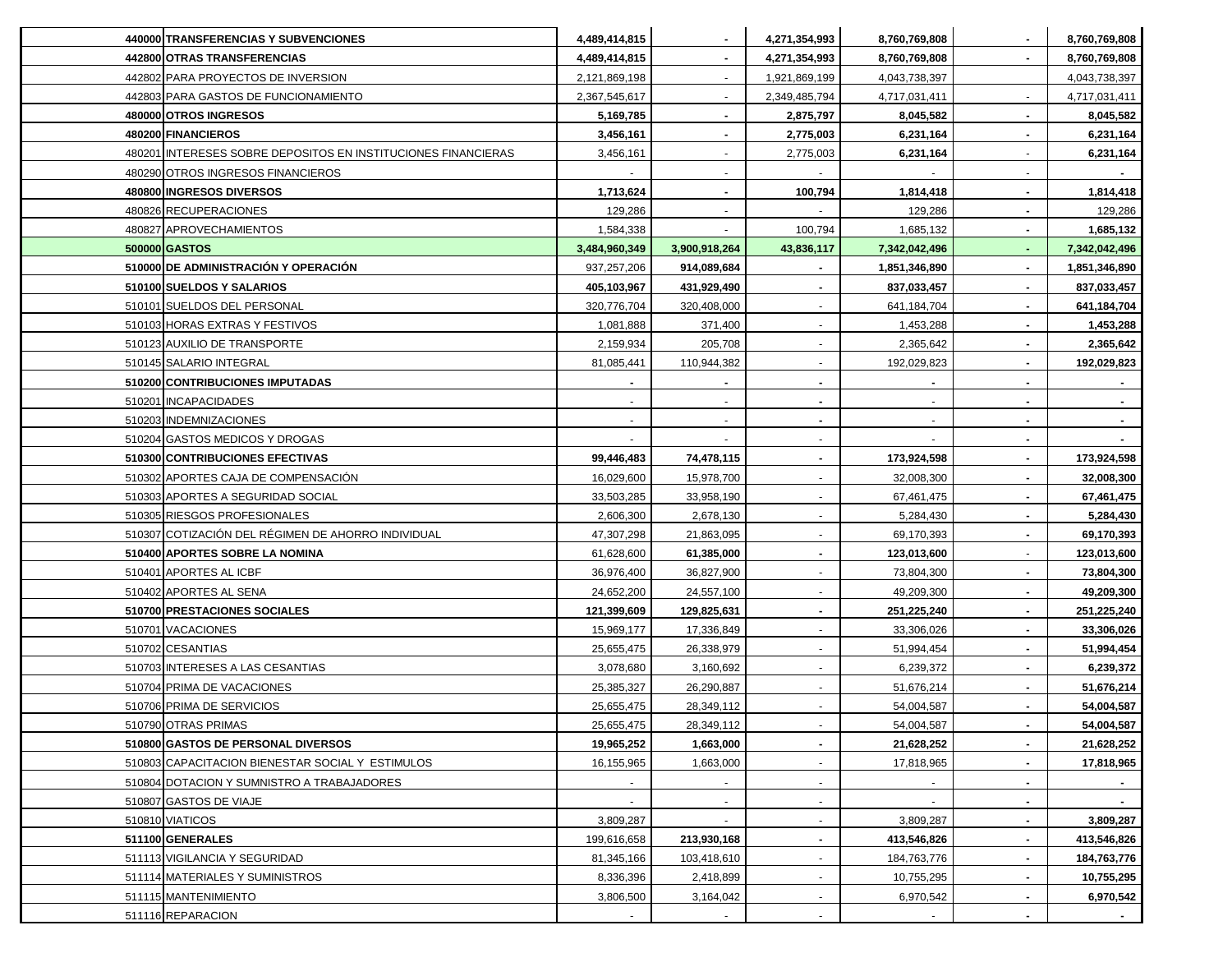| 440000 TRANSFERENCIAS Y SUBVENCIONES                          | 4,489,414,815 |                | 4,271,354,993  | 8,760,769,808 |                | 8,760,769,808 |
|---------------------------------------------------------------|---------------|----------------|----------------|---------------|----------------|---------------|
| 442800 OTRAS TRANSFERENCIAS                                   | 4,489,414,815 | $\blacksquare$ | 4,271,354,993  | 8,760,769,808 |                | 8,760,769,808 |
| 442802 PARA PROYECTOS DE INVERSION                            | 2,121,869,198 | $\blacksquare$ | 1,921,869,199  | 4,043,738,397 |                | 4,043,738,397 |
| 442803 PARA GASTOS DE FUNCIONAMIENTO                          | 2,367,545,617 | $\sim$         | 2,349,485,794  | 4,717,031,411 |                | 4,717,031,411 |
| 480000 OTROS INGRESOS                                         | 5,169,785     |                | 2,875,797      | 8,045,582     |                | 8,045,582     |
| 480200 FINANCIEROS                                            | 3,456,161     |                | 2,775,003      | 6,231,164     |                | 6,231,164     |
| 480201 INTERESES SOBRE DEPOSITOS EN INSTITUCIONES FINANCIERAS | 3,456,161     |                | 2,775,003      | 6,231,164     |                | 6,231,164     |
| 480290 OTROS INGRESOS FINANCIEROS                             |               |                |                |               |                |               |
| 480800 INGRESOS DIVERSOS                                      | 1,713,624     |                | 100,794        | 1,814,418     |                | 1,814,418     |
| 480826 RECUPERACIONES                                         | 129,286       |                |                | 129,286       |                | 129,286       |
| 480827 APROVECHAMIENTOS                                       | 1,584,338     |                | 100,794        | 1,685,132     |                | 1,685,132     |
| 500000 GASTOS                                                 | 3,484,960,349 | 3,900,918,264  | 43,836,117     | 7,342,042,496 |                | 7,342,042,496 |
| 510000 DE ADMINISTRACIÓN Y OPERACIÓN                          | 937,257,206   | 914,089,684    |                | 1,851,346,890 |                | 1,851,346,890 |
| 510100 SUELDOS Y SALARIOS                                     | 405,103,967   | 431,929,490    |                | 837,033,457   |                | 837,033,457   |
| 510101 SUELDOS DEL PERSONAL                                   | 320,776,704   | 320,408,000    |                | 641,184,704   |                | 641,184,704   |
| 510103 HORAS EXTRAS Y FESTIVOS                                | 1,081,888     | 371,400        |                | 1,453,288     |                | 1,453,288     |
| 510123 AUXILIO DE TRANSPORTE                                  | 2,159,934     | 205,708        |                | 2,365,642     |                | 2,365,642     |
| 510145 SALARIO INTEGRAL                                       | 81,085,441    | 110,944,382    |                | 192,029,823   |                | 192,029,823   |
| 510200 CONTRIBUCIONES IMPUTADAS                               |               |                |                |               |                |               |
| 510201 INCAPACIDADES                                          |               |                |                |               |                |               |
| 510203 INDEMNIZACIONES                                        |               |                |                |               |                |               |
| 510204 GASTOS MEDICOS Y DROGAS                                |               |                |                |               |                |               |
| 510300 CONTRIBUCIONES EFECTIVAS                               | 99,446,483    | 74,478,115     |                | 173,924,598   |                | 173,924,598   |
| 510302 APORTES CAJA DE COMPENSACIÓN                           | 16,029,600    | 15,978,700     |                | 32,008,300    |                | 32,008,300    |
| 510303 APORTES A SEGURIDAD SOCIAL                             | 33,503,285    | 33,958,190     |                | 67,461,475    |                | 67,461,475    |
| 510305 RIESGOS PROFESIONALES                                  | 2,606,300     | 2,678,130      |                | 5,284,430     |                | 5,284,430     |
| 510307 COTIZACIÓN DEL RÉGIMEN DE AHORRO INDIVIDUAL            | 47,307,298    | 21,863,095     | $\sim$         | 69,170,393    |                | 69,170,393    |
| 510400 APORTES SOBRE LA NOMINA                                | 61,628,600    | 61,385,000     | $\sim$         | 123,013,600   |                | 123,013,600   |
| 510401 APORTES AL ICBF                                        | 36,976,400    | 36,827,900     | $\blacksquare$ | 73,804,300    |                | 73,804,300    |
| 510402 APORTES AL SENA                                        | 24,652,200    | 24,557,100     |                | 49,209,300    |                | 49,209,300    |
| 510700 PRESTACIONES SOCIALES                                  | 121,399,609   | 129,825,631    |                | 251,225,240   | $\blacksquare$ | 251,225,240   |
| 510701 VACACIONES                                             | 15,969,177    | 17,336,849     |                | 33,306,026    |                | 33,306,026    |
| 510702 CESANTIAS                                              | 25,655,475    | 26,338,979     |                | 51,994,454    |                | 51,994,454    |
| 510703 INTERESES A LAS CESANTIAS                              | 3,078,680     | 3,160,692      |                | 6,239,372     |                | 6,239,372     |
| 510704 PRIMA DE VACACIONES                                    | 25,385,327    | 26,290,887     |                | 51,676,214    |                | 51,676,214    |
| 510706 PRIMA DE SERVICIOS                                     | 25,655,475    | 28,349,112     |                | 54,004,587    |                | 54,004,587    |
| 510790 OTRAS PRIMAS                                           | 25,655,475    | 28,349,112     | $\sim$         | 54,004,587    |                | 54,004,587    |
| 510800 GASTOS DE PERSONAL DIVERSOS                            | 19,965,252    | 1,663,000      | $\sim$         | 21,628,252    |                | 21,628,252    |
| 510803 CAPACITACION BIENESTAR SOCIAL Y ESTIMULOS              | 16,155,965    | 1,663,000      |                | 17,818,965    |                | 17,818,965    |
| 510804 DOTACION Y SUMNISTRO A TRABAJADORES                    |               |                | $\sim$         |               |                |               |
| 510807 GASTOS DE VIAJE                                        |               | $\sim$         | $\sim$         |               | ۰.             |               |
| 510810 VIATICOS                                               | 3,809,287     |                |                | 3,809,287     |                | 3,809,287     |
| 511100 GENERALES                                              | 199,616,658   | 213,930,168    |                | 413,546,826   |                | 413,546,826   |
| 511113 VIGILANCIA Y SEGURIDAD                                 | 81,345,166    | 103,418,610    |                | 184,763,776   |                | 184,763,776   |
| 511114 MATERIALES Y SUMINISTROS                               | 8,336,396     | 2,418,899      |                | 10,755,295    |                | 10,755,295    |
| 511115 MANTENIMIENTO                                          | 3,806,500     | 3,164,042      |                | 6,970,542     |                | 6,970,542     |
| 511116 REPARACION                                             |               |                |                |               |                |               |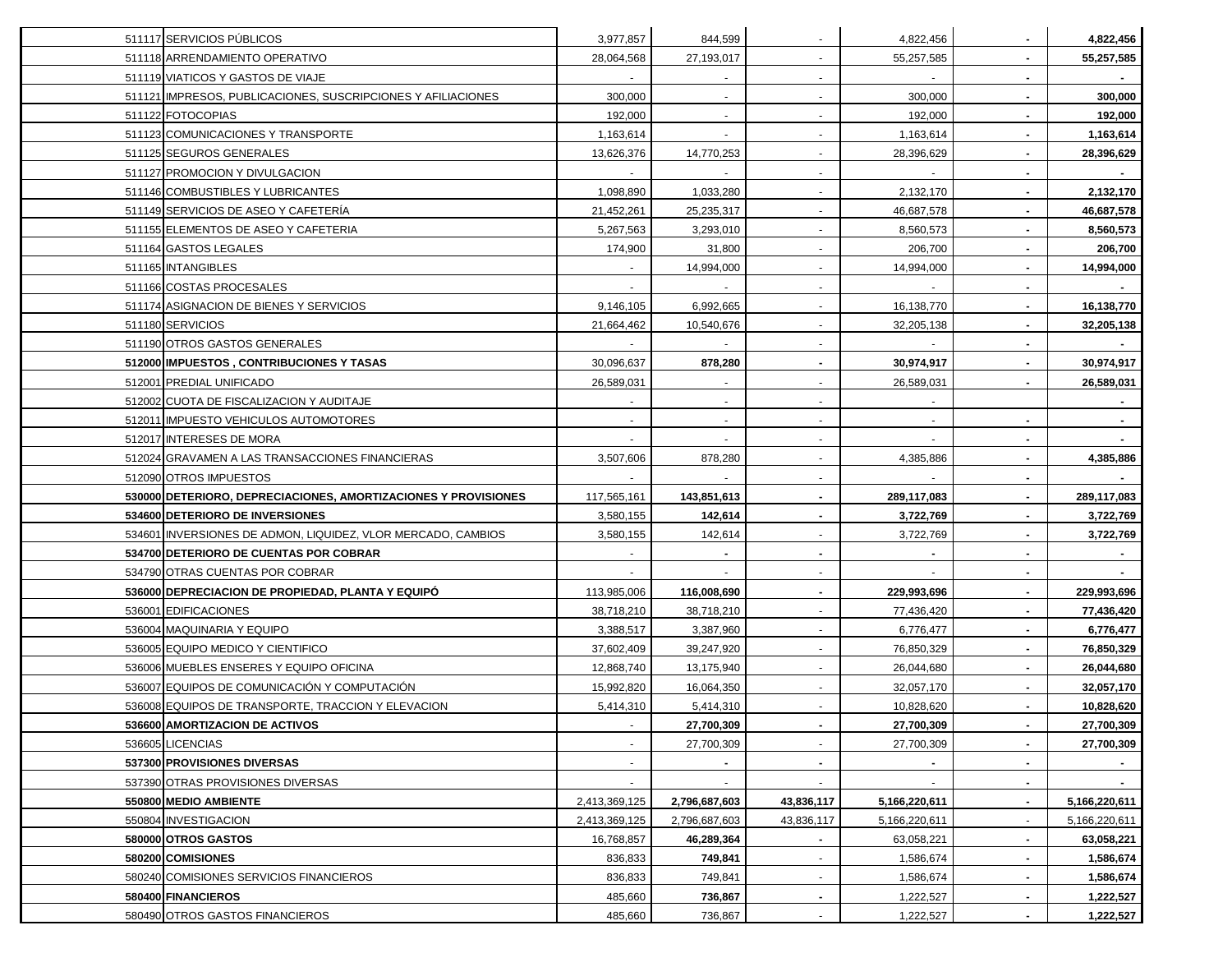| 511117 SERVICIOS PÚBLICOS                                      | 3,977,857     | 844,599        |                          | 4,822,456     | 4,822,456     |
|----------------------------------------------------------------|---------------|----------------|--------------------------|---------------|---------------|
| 511118 ARRENDAMIENTO OPERATIVO                                 | 28,064,568    | 27,193,017     |                          | 55,257,585    | 55,257,585    |
| 511119 VIATICOS Y GASTOS DE VIAJE                              |               |                |                          |               |               |
| 511121 IMPRESOS, PUBLICACIONES, SUSCRIPCIONES Y AFILIACIONES   | 300,000       |                | $\blacksquare$           | 300,000       | 300,000       |
| 511122 FOTOCOPIAS                                              | 192,000       |                |                          | 192,000       | 192,000       |
| 511123 COMUNICACIONES Y TRANSPORTE                             | 1,163,614     | $\sim$         | $\sim$                   | 1,163,614     | 1,163,614     |
| 511125 SEGUROS GENERALES                                       | 13,626,376    | 14,770,253     | $\overline{\phantom{a}}$ | 28,396,629    | 28,396,629    |
| 511127 PROMOCION Y DIVULGACION                                 |               |                | $\blacksquare$           |               |               |
| 511146 COMBUSTIBLES Y LUBRICANTES                              | 1,098,890     | 1,033,280      | $\blacksquare$           | 2,132,170     | 2,132,170     |
| 511149 SERVICIOS DE ASEO Y CAFETERÍA                           | 21,452,261    | 25,235,317     |                          | 46,687,578    | 46,687,578    |
| 511155 ELEMENTOS DE ASEO Y CAFETERIA                           | 5,267,563     | 3,293,010      |                          | 8,560,573     | 8,560,573     |
| 511164 GASTOS LEGALES                                          | 174,900       | 31,800         |                          | 206,700       | 206,700       |
| 511165 INTANGIBLES                                             |               | 14,994,000     |                          | 14,994,000    | 14,994,000    |
| 511166 COSTAS PROCESALES                                       |               |                |                          |               |               |
| 511174 ASIGNACION DE BIENES Y SERVICIOS                        | 9,146,105     | 6,992,665      |                          | 16,138,770    | 16,138,770    |
| 511180 SERVICIOS                                               | 21,664,462    | 10,540,676     |                          | 32,205,138    | 32,205,138    |
| 511190 OTROS GASTOS GENERALES                                  |               |                |                          |               |               |
| 512000 IMPUESTOS , CONTRIBUCIONES Y TASAS                      | 30,096,637    | 878,280        | $\blacksquare$           | 30,974,917    | 30,974,917    |
| 512001 PREDIAL UNIFICADO                                       | 26,589,031    |                | $\blacksquare$           | 26,589,031    | 26,589,031    |
| 512002 CUOTA DE FISCALIZACION Y AUDITAJE                       |               | $\blacksquare$ | $\blacksquare$           |               |               |
| 512011 IMPUESTO VEHICULOS AUTOMOTORES                          |               |                |                          |               |               |
| 512017 INTERESES DE MORA                                       |               |                |                          |               |               |
| 512024 GRAVAMEN A LAS TRANSACCIONES FINANCIERAS                | 3,507,606     | 878,280        |                          | 4,385,886     | 4,385,886     |
| 512090 OTROS IMPUESTOS                                         |               |                |                          |               |               |
| 530000 DETERIORO, DEPRECIACIONES, AMORTIZACIONES Y PROVISIONES | 117,565,161   | 143,851,613    |                          | 289,117,083   | 289,117,083   |
| 534600 DETERIORO DE INVERSIONES                                | 3,580,155     | 142,614        |                          | 3,722,769     | 3,722,769     |
| 534601 INVERSIONES DE ADMON, LIQUIDEZ, VLOR MERCADO, CAMBIOS   | 3,580,155     | 142,614        |                          | 3,722,769     | 3,722,769     |
| 534700 DETERIORO DE CUENTAS POR COBRAR                         |               |                |                          |               |               |
| 534790 OTRAS CUENTAS POR COBRAR                                |               |                | $\blacksquare$           |               |               |
| 536000 DEPRECIACION DE PROPIEDAD, PLANTA Y EQUIPÓ              | 113,985,006   | 116,008,690    | $\blacksquare$           | 229,993,696   | 229,993,696   |
| 536001 EDIFICACIONES                                           | 38,718,210    | 38,718,210     | $\sim$                   | 77,436,420    | 77,436,420    |
| 536004 MAQUINARIA Y EQUIPO                                     | 3,388,517     | 3,387,960      | $\sim$                   | 6,776,477     | 6,776,477     |
| 536005 EQUIPO MEDICO Y CIENTIFICO                              | 37,602,409    | 39,247,920     | $\blacksquare$           | 76,850,329    | 76,850,329    |
| 536006 MUEBLES ENSERES Y EQUIPO OFICINA                        | 12,868,740    | 13,175,940     |                          | 26,044,680    | 26,044,680    |
| 536007 EQUIPOS DE COMUNICACIÓN Y COMPUTACIÓN                   | 15,992,820    | 16,064,350     |                          | 32,057,170    | 32,057,170    |
| 536008 EQUIPOS DE TRANSPORTE, TRACCION Y ELEVACION             | 5,414,310     | 5,414,310      |                          | 10,828,620    | 10,828,620    |
| 536600 AMORTIZACION DE ACTIVOS                                 |               | 27,700,309     |                          | 27,700,309    | 27,700,309    |
| 536605 LICENCIAS                                               |               | 27,700,309     |                          | 27,700,309    | 27,700,309    |
| 537300 PROVISIONES DIVERSAS                                    |               |                | $\blacksquare$           |               |               |
| 537390 OTRAS PROVISIONES DIVERSAS                              |               |                |                          |               |               |
| 550800 MEDIO AMBIENTE                                          | 2,413,369,125 | 2,796,687,603  | 43,836,117               | 5,166,220,611 | 5,166,220,611 |
| 550804 INVESTIGACION                                           | 2,413,369,125 | 2,796,687,603  | 43,836,117               | 5,166,220,611 | 5,166,220,611 |
| 580000 OTROS GASTOS                                            | 16,768,857    | 46,289,364     | $\blacksquare$           | 63,058,221    | 63,058,221    |
| 580200 COMISIONES                                              | 836,833       | 749,841        | $\blacksquare$           | 1,586,674     | 1,586,674     |
| 580240 COMISIONES SERVICIOS FINANCIEROS                        | 836,833       | 749,841        | $\blacksquare$           | 1,586,674     | 1,586,674     |
| 580400 FINANCIEROS                                             | 485,660       | 736,867        |                          | 1,222,527     | 1,222,527     |
| 580490 OTROS GASTOS FINANCIEROS                                | 485,660       | 736,867        |                          | 1,222,527     | 1,222,527     |